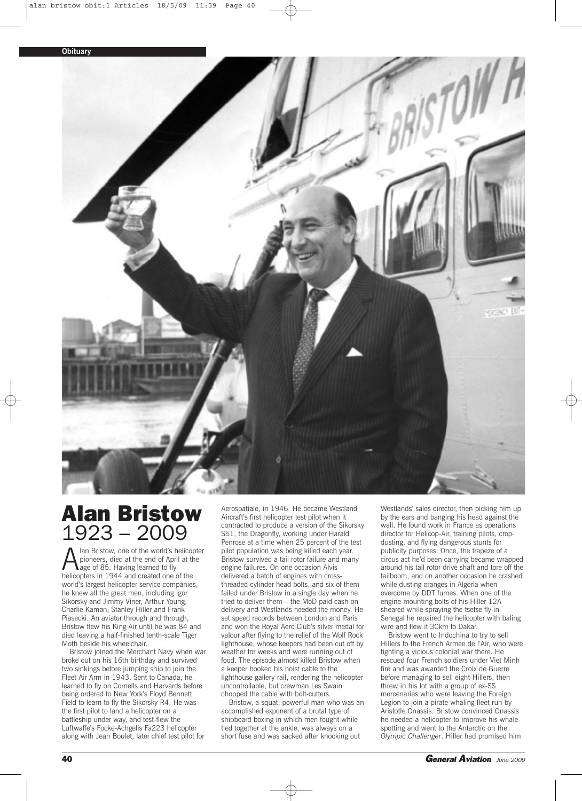

## **Alan Bristow 1923 – 2009**

Alan Bristow, one of the world's helicopter<br>pioneers, died at the end of April at the<br>helicopters in 1944 and created one of the pioneers, died at the end of April at the lage of 85. Having learned to fly helicopters in 1944 and created one of the world's largest helicopter service companies, he knew all the great men, including Igor Sikorsky and Jimmy Viner, Arthur Young, Charlie Kaman, Stanley Hiller and Frank Piasecki. An aviator through and through, Bristow flew his King Air until he was 84 and died leaving a half-finished tenth-scale Tiger Moth beside his wheelchair.

Bristow joined the Merchant Navy when war broke out on his 16th birthday and survived two sinkings before jumping ship to join the Fleet Air Arm in 1943. Sent to Canada, he learned to fly on Cornells and Harvards before being ordered to New York's Floyd Bennett Field to learn to fly the Sikorsky R4. He was the first pilot to land a helicopter on a battleship under way, and test-flew the Luftwaffe's Focke-Achgelis Fa223 helicopter along with Jean Boulet, later chief test pilot for

Aerospatiale, in 1946. He became Westland Aircraft's first helicopter test pilot when it contracted to produce a version of the Sikorsky S51, the Dragonfly, working under Harald Penrose at a time when 25 percent of the test pilot population was being killed each year. Bristow survived a tail rotor failure and many engine failures. On one occasion Alvis delivered a batch of engines with crossthreaded cylinder head bolts, and six of them failed under Bristow in a single day when he tried to deliver them – the MoD paid cash on delivery and Westlands needed the money. He set speed records between London and Paris and won the Royal Aero Club's silver medal for valour after flying to the relief of the Wolf Rock lighthouse, whose keepers had been cut off by weather for weeks and were running out of food. The episode almost killed Bristow when a keeper hooked his hoist cable to the lighthouse gallery rail, rendering the helicopter uncontrollable, but crewman Les Swain chopped the cable with bolt-cutters.

Bristow, a squat, powerful man who was an accomplished exponent of a brutal type of shipboard boxing in which men fought while tied together at the ankle, was always on a short fuse and was sacked after knocking out

Westlands' sales director, then picking him up by the ears and banging his head against the wall. He found work in France as operations director for Helicop-Air, training pilots, cropdusting, and flying dangerous stunts for publicity purposes. Once, the trapeze of a circus act he'd been carrying became wrapped around his tail rotor drive shaft and tore off the tailboom, and on another occasion he crashed while dusting oranges in Algeria when overcome by DDT fumes. When one of the engine-mounting bolts of his Hiller 12A sheared while spraying the tsetse fly in Senegal he repaired the helicopter with baling wire and flew it 30km to Dakar.

Bristow went to Indochina to try to sell Hillers to the French Armee de l'Air, who were fighting a vicious colonial war there. He rescued four French soldiers under Viet Minh fire and was awarded the Croix de Guerre before managing to sell eight Hillers, then threw in his lot with a group of ex-SS mercenaries who were leaving the Foreign Legion to join a pirate whaling fleet run by Aristotle Onassis. Bristow convinced Onassis he needed a helicopter to improve his whalespotting and went to the Antarctic on the *Olympic Challenger*. Hiller had promised him